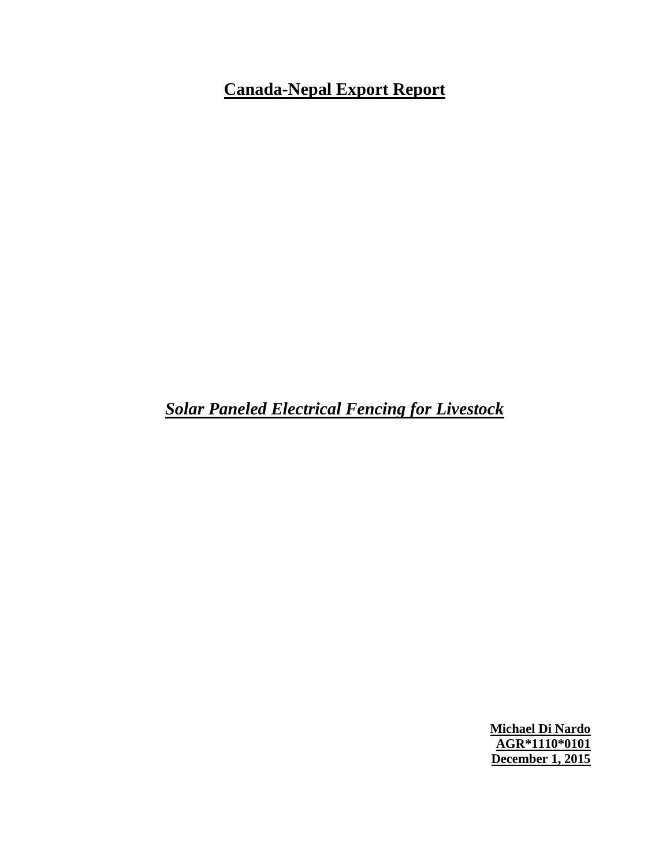# **Canada-Nepal Export Report**

*Solar Paneled Electrical Fencing for Livestock*

**Michael Di Nardo AGR\*1110\*0101 December 1, 2015**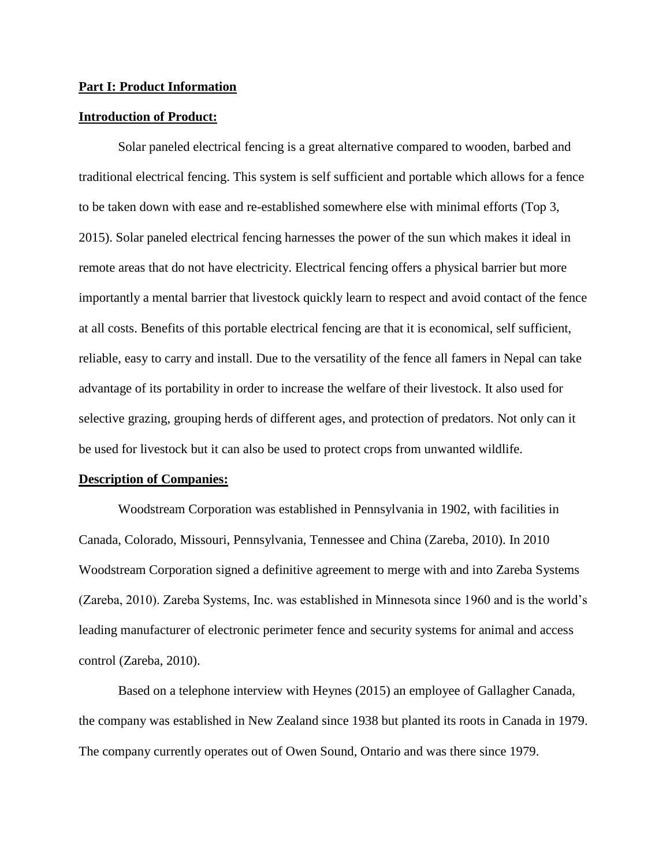#### **Part I: Product Information**

### **Introduction of Product:**

Solar paneled electrical fencing is a great alternative compared to wooden, barbed and traditional electrical fencing. This system is self sufficient and portable which allows for a fence to be taken down with ease and re-established somewhere else with minimal efforts (Top 3, 2015). Solar paneled electrical fencing harnesses the power of the sun which makes it ideal in remote areas that do not have electricity. Electrical fencing offers a physical barrier but more importantly a mental barrier that livestock quickly learn to respect and avoid contact of the fence at all costs. Benefits of this portable electrical fencing are that it is economical, self sufficient, reliable, easy to carry and install. Due to the versatility of the fence all famers in Nepal can take advantage of its portability in order to increase the welfare of their livestock. It also used for selective grazing, grouping herds of different ages, and protection of predators. Not only can it be used for livestock but it can also be used to protect crops from unwanted wildlife.

#### **Description of Companies:**

Woodstream Corporation was established in Pennsylvania in 1902, with facilities in Canada, Colorado, Missouri, Pennsylvania, Tennessee and China (Zareba, 2010). In 2010 Woodstream Corporation signed a definitive agreement to merge with and into Zareba Systems (Zareba, 2010). Zareba Systems, Inc. was established in Minnesota since 1960 and is the world's leading manufacturer of electronic perimeter fence and security systems for animal and access control (Zareba, 2010).

Based on a telephone interview with Heynes (2015) an employee of Gallagher Canada, the company was established in New Zealand since 1938 but planted its roots in Canada in 1979. The company currently operates out of Owen Sound, Ontario and was there since 1979.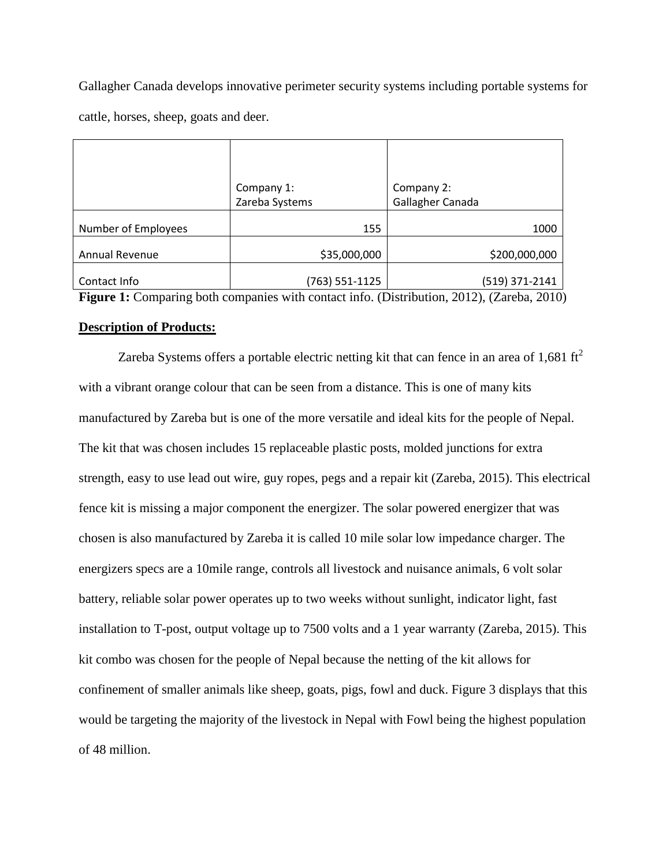Gallagher Canada develops innovative perimeter security systems including portable systems for cattle, horses, sheep, goats and deer.

|                     | Company 1:     | Company 2:                                                                                        |
|---------------------|----------------|---------------------------------------------------------------------------------------------------|
|                     | Zareba Systems | Gallagher Canada                                                                                  |
| Number of Employees | 155            | 1000                                                                                              |
| Annual Revenue      | \$35,000,000   | \$200,000,000                                                                                     |
| Contact Info        | (763) 551-1125 | (519) 371-2141                                                                                    |
|                     |                | <b>Figure 1.</b> Comparing both companies with contact info. (Distribution, 2012). (Zerobe, 2010) |

**Figure 1:** Comparing both companies with contact info. (Distribution, 2012), (Zareba, 2010)

#### **Description of Products:**

Zareba Systems offers a portable electric netting kit that can fence in an area of 1,681 ft<sup>2</sup> with a vibrant orange colour that can be seen from a distance. This is one of many kits manufactured by Zareba but is one of the more versatile and ideal kits for the people of Nepal. The kit that was chosen includes 15 replaceable plastic posts, molded junctions for extra strength, easy to use lead out wire, guy ropes, pegs and a repair kit (Zareba, 2015). This electrical fence kit is missing a major component the energizer. The solar powered energizer that was chosen is also manufactured by Zareba it is called 10 mile solar low impedance charger. The energizers specs are a 10mile range, controls all livestock and nuisance animals, 6 volt solar battery, reliable solar power operates up to two weeks without sunlight, indicator light, fast installation to T-post, output voltage up to 7500 volts and a 1 year warranty (Zareba, 2015). This kit combo was chosen for the people of Nepal because the netting of the kit allows for confinement of smaller animals like sheep, goats, pigs, fowl and duck. Figure 3 displays that this would be targeting the majority of the livestock in Nepal with Fowl being the highest population of 48 million.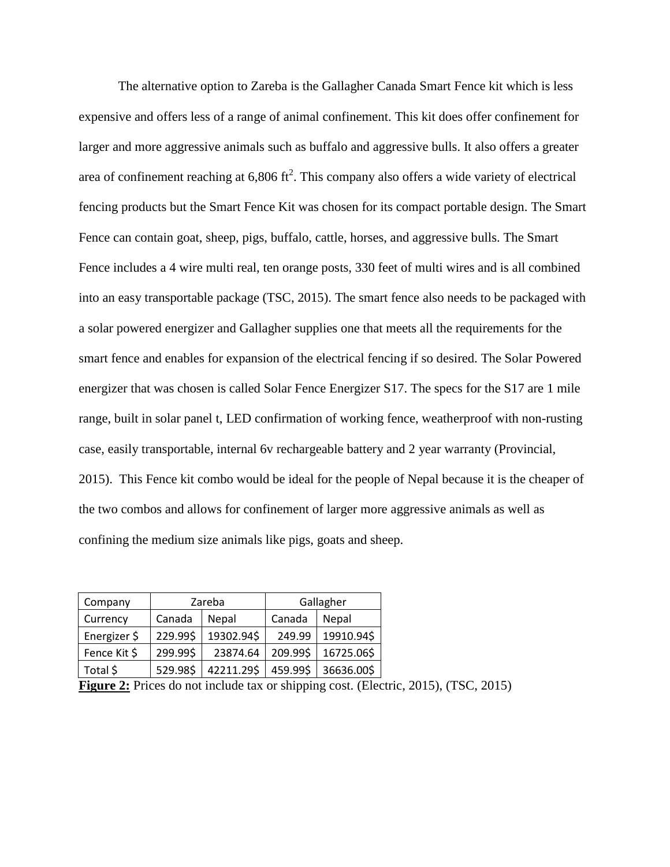The alternative option to Zareba is the Gallagher Canada Smart Fence kit which is less expensive and offers less of a range of animal confinement. This kit does offer confinement for larger and more aggressive animals such as buffalo and aggressive bulls. It also offers a greater area of confinement reaching at  $6,806 \text{ ft}^2$ . This company also offers a wide variety of electrical fencing products but the Smart Fence Kit was chosen for its compact portable design. The Smart Fence can contain goat, sheep, pigs, buffalo, cattle, horses, and aggressive bulls. The Smart Fence includes a 4 wire multi real, ten orange posts, 330 feet of multi wires and is all combined into an easy transportable package (TSC, 2015). The smart fence also needs to be packaged with a solar powered energizer and Gallagher supplies one that meets all the requirements for the smart fence and enables for expansion of the electrical fencing if so desired. The Solar Powered energizer that was chosen is called Solar Fence Energizer S17. The specs for the S17 are 1 mile range, built in solar panel t, LED confirmation of working fence, weatherproof with non-rusting case, easily transportable, internal 6v rechargeable battery and 2 year warranty (Provincial, 2015). This Fence kit combo would be ideal for the people of Nepal because it is the cheaper of the two combos and allows for confinement of larger more aggressive animals as well as confining the medium size animals like pigs, goats and sheep.

| Company      | Zareba   |            | Gallagher |              |
|--------------|----------|------------|-----------|--------------|
| Currency     | Canada   | Nepal      | Canada    | <b>Nepal</b> |
| Energizer \$ | 229.99\$ | 19302.94\$ | 249.99    | 19910.94\$   |
| Fence Kit \$ | 299.99\$ | 23874.64   | 209.99\$  | 16725.06\$   |
| Total \$     | 529.98\$ | 42211.29\$ | 459.99\$  | 36636.00\$   |

| Figure 2: Prices do not include tax or shipping cost. (Electric, 2015), (TSC, 2015) |  |  |
|-------------------------------------------------------------------------------------|--|--|
|                                                                                     |  |  |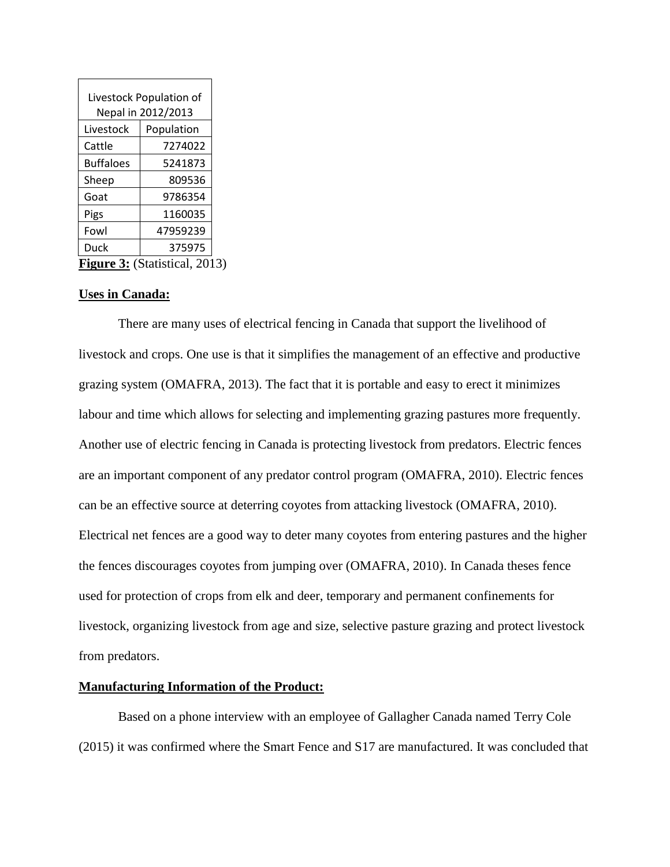| Livestock Population of       |            |  |
|-------------------------------|------------|--|
| Nepal in 2012/2013            |            |  |
| Livestock                     | Population |  |
| Cattle                        | 7274022    |  |
| <b>Buffaloes</b>              | 5241873    |  |
| Sheep                         | 809536     |  |
| Goat                          | 9786354    |  |
| Pigs                          | 1160035    |  |
| Fowl                          | 47959239   |  |
| Duck                          | 375975     |  |
| Figure 3: (Statistical, 2013) |            |  |

# **Uses in Canada:**

There are many uses of electrical fencing in Canada that support the livelihood of livestock and crops. One use is that it simplifies the management of an effective and productive grazing system (OMAFRA, 2013). The fact that it is portable and easy to erect it minimizes labour and time which allows for selecting and implementing grazing pastures more frequently. Another use of electric fencing in Canada is protecting livestock from predators. Electric fences are an important component of any predator control program (OMAFRA, 2010). Electric fences can be an effective source at deterring coyotes from attacking livestock (OMAFRA, 2010). Electrical net fences are a good way to deter many coyotes from entering pastures and the higher the fences discourages coyotes from jumping over (OMAFRA, 2010). In Canada theses fence used for protection of crops from elk and deer, temporary and permanent confinements for livestock, organizing livestock from age and size, selective pasture grazing and protect livestock from predators.

# **Manufacturing Information of the Product:**

Based on a phone interview with an employee of Gallagher Canada named Terry Cole (2015) it was confirmed where the Smart Fence and S17 are manufactured. It was concluded that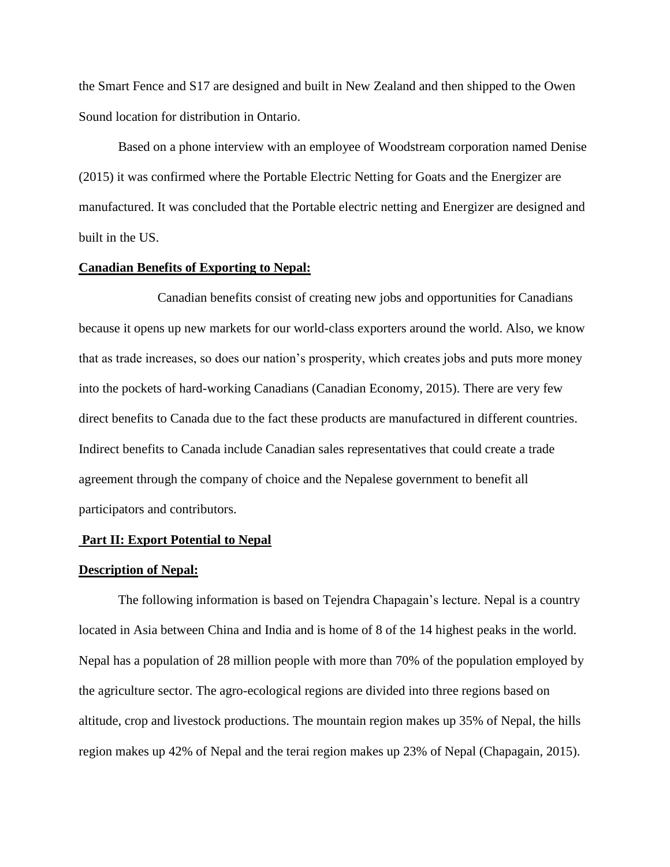the Smart Fence and S17 are designed and built in New Zealand and then shipped to the Owen Sound location for distribution in Ontario.

Based on a phone interview with an employee of Woodstream corporation named Denise (2015) it was confirmed where the Portable Electric Netting for Goats and the Energizer are manufactured. It was concluded that the Portable electric netting and Energizer are designed and built in the US.

# **Canadian Benefits of Exporting to Nepal:**

Canadian benefits consist of creating new jobs and opportunities for Canadians because it opens up new markets for our world-class exporters around the world. Also, we know that as trade increases, so does our nation's prosperity, which creates jobs and puts more money into the pockets of hard-working Canadians (Canadian Economy, 2015). There are very few direct benefits to Canada due to the fact these products are manufactured in different countries. Indirect benefits to Canada include Canadian sales representatives that could create a trade agreement through the company of choice and the Nepalese government to benefit all participators and contributors.

#### **Part II: Export Potential to Nepal**

#### **Description of Nepal:**

The following information is based on Tejendra Chapagain's lecture. Nepal is a country located in Asia between China and India and is home of 8 of the 14 highest peaks in the world. Nepal has a population of 28 million people with more than 70% of the population employed by the agriculture sector. The agro-ecological regions are divided into three regions based on altitude, crop and livestock productions. The mountain region makes up 35% of Nepal, the hills region makes up 42% of Nepal and the terai region makes up 23% of Nepal (Chapagain, 2015).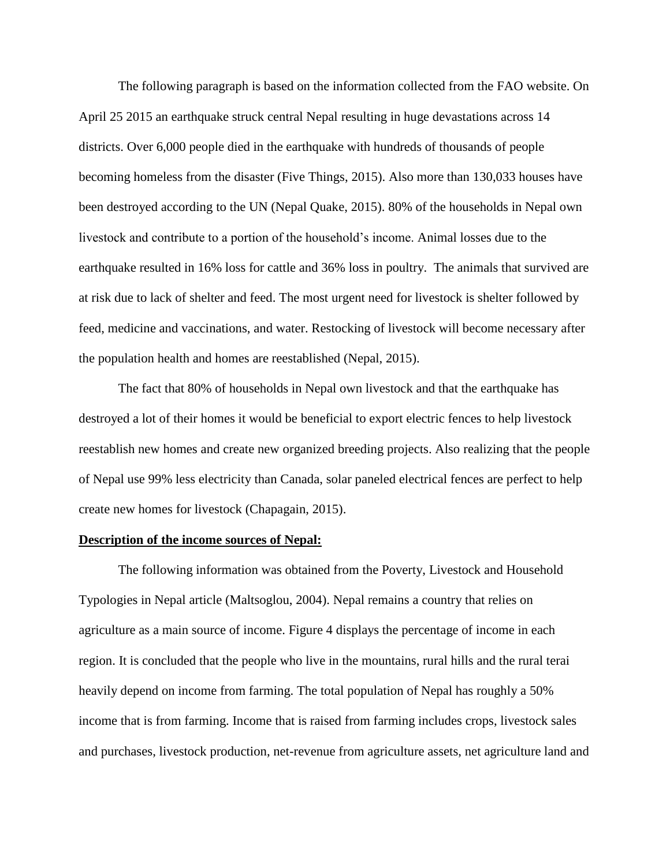The following paragraph is based on the information collected from the FAO website. On April 25 2015 an earthquake struck central Nepal resulting in huge devastations across 14 districts. Over 6,000 people died in the earthquake with hundreds of thousands of people becoming homeless from the disaster (Five Things, 2015). Also more than 130,033 houses have been destroyed according to the UN (Nepal Quake, 2015). 80% of the households in Nepal own livestock and contribute to a portion of the household's income. Animal losses due to the earthquake resulted in 16% loss for cattle and 36% loss in poultry. The animals that survived are at risk due to lack of shelter and feed. The most urgent need for livestock is shelter followed by feed, medicine and vaccinations, and water. Restocking of livestock will become necessary after the population health and homes are reestablished (Nepal, 2015).

The fact that 80% of households in Nepal own livestock and that the earthquake has destroyed a lot of their homes it would be beneficial to export electric fences to help livestock reestablish new homes and create new organized breeding projects. Also realizing that the people of Nepal use 99% less electricity than Canada, solar paneled electrical fences are perfect to help create new homes for livestock (Chapagain, 2015).

## **Description of the income sources of Nepal:**

The following information was obtained from the Poverty, Livestock and Household Typologies in Nepal article (Maltsoglou, 2004). Nepal remains a country that relies on agriculture as a main source of income. Figure 4 displays the percentage of income in each region. It is concluded that the people who live in the mountains, rural hills and the rural terai heavily depend on income from farming. The total population of Nepal has roughly a 50% income that is from farming. Income that is raised from farming includes crops, livestock sales and purchases, livestock production, net-revenue from agriculture assets, net agriculture land and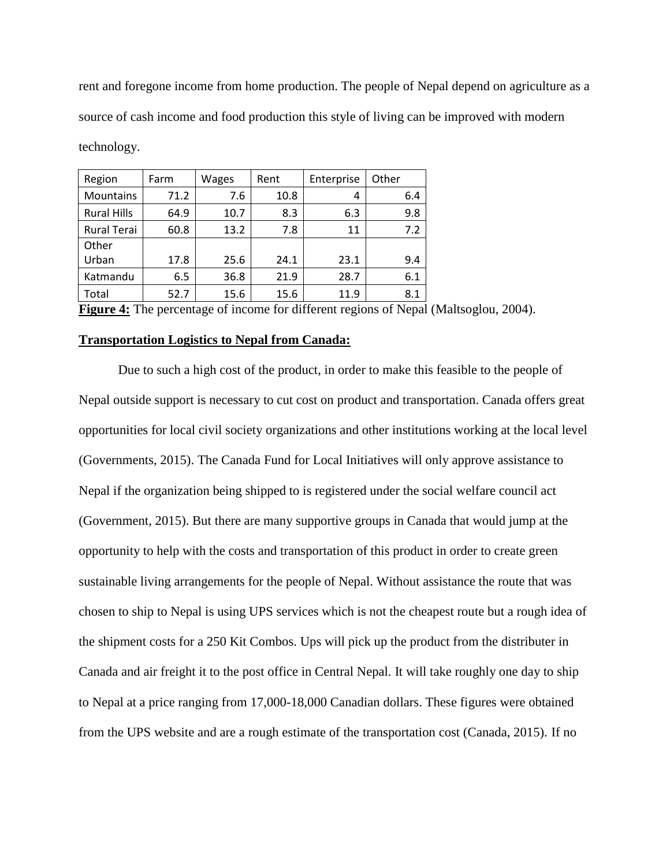rent and foregone income from home production. The people of Nepal depend on agriculture as a source of cash income and food production this style of living can be improved with modern technology.

| Region             | Farm | Wages | Rent | Enterprise | Other |
|--------------------|------|-------|------|------------|-------|
| Mountains          | 71.2 | 7.6   | 10.8 | 4          | 6.4   |
| <b>Rural Hills</b> | 64.9 | 10.7  | 8.3  | 6.3        | 9.8   |
| <b>Rural Terai</b> | 60.8 | 13.2  | 7.8  | 11         | 7.2   |
| Other              |      |       |      |            |       |
| Urban              | 17.8 | 25.6  | 24.1 | 23.1       | 9.4   |
| Katmandu           | 6.5  | 36.8  | 21.9 | 28.7       | 6.1   |
| Total              | 52.7 | 15.6  | 15.6 | 11.9       | 8.1   |

**Figure 4:** The percentage of income for different regions of Nepal (Maltsoglou, 2004).

### **Transportation Logistics to Nepal from Canada:**

Due to such a high cost of the product, in order to make this feasible to the people of Nepal outside support is necessary to cut cost on product and transportation. Canada offers great opportunities for local civil society organizations and other institutions working at the local level (Governments, 2015). The Canada Fund for Local Initiatives will only approve assistance to Nepal if the organization being shipped to is registered under the social welfare council act (Government, 2015). But there are many supportive groups in Canada that would jump at the opportunity to help with the costs and transportation of this product in order to create green sustainable living arrangements for the people of Nepal. Without assistance the route that was chosen to ship to Nepal is using UPS services which is not the cheapest route but a rough idea of the shipment costs for a 250 Kit Combos. Ups will pick up the product from the distributer in Canada and air freight it to the post office in Central Nepal. It will take roughly one day to ship to Nepal at a price ranging from 17,000-18,000 Canadian dollars. These figures were obtained from the UPS website and are a rough estimate of the transportation cost (Canada, 2015). If no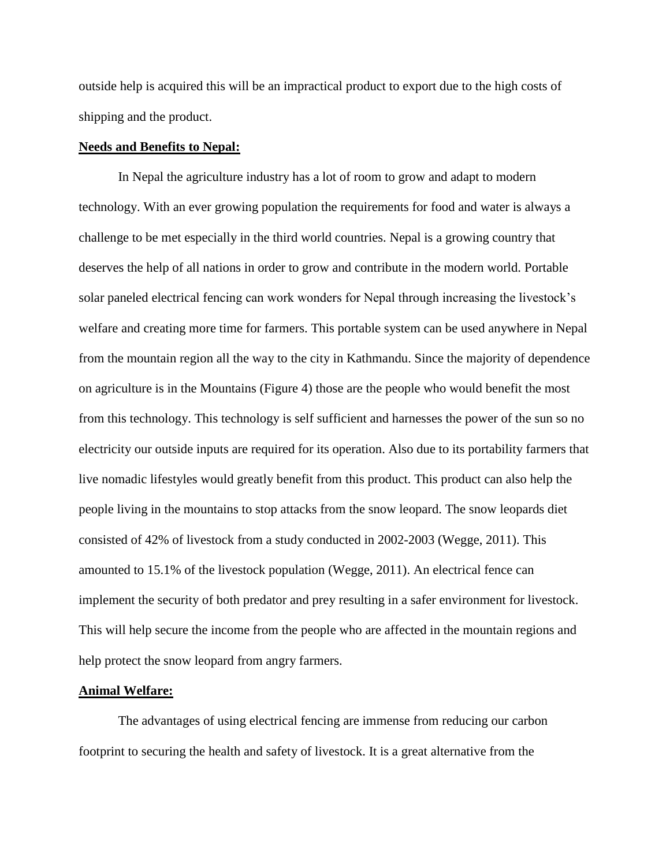outside help is acquired this will be an impractical product to export due to the high costs of shipping and the product.

# **Needs and Benefits to Nepal:**

In Nepal the agriculture industry has a lot of room to grow and adapt to modern technology. With an ever growing population the requirements for food and water is always a challenge to be met especially in the third world countries. Nepal is a growing country that deserves the help of all nations in order to grow and contribute in the modern world. Portable solar paneled electrical fencing can work wonders for Nepal through increasing the livestock's welfare and creating more time for farmers. This portable system can be used anywhere in Nepal from the mountain region all the way to the city in Kathmandu. Since the majority of dependence on agriculture is in the Mountains (Figure 4) those are the people who would benefit the most from this technology. This technology is self sufficient and harnesses the power of the sun so no electricity our outside inputs are required for its operation. Also due to its portability farmers that live nomadic lifestyles would greatly benefit from this product. This product can also help the people living in the mountains to stop attacks from the snow leopard. The snow leopards diet consisted of 42% of livestock from a study conducted in 2002-2003 (Wegge, 2011). This amounted to 15.1% of the livestock population (Wegge, 2011). An electrical fence can implement the security of both predator and prey resulting in a safer environment for livestock. This will help secure the income from the people who are affected in the mountain regions and help protect the snow leopard from angry farmers.

#### **Animal Welfare:**

The advantages of using electrical fencing are immense from reducing our carbon footprint to securing the health and safety of livestock. It is a great alternative from the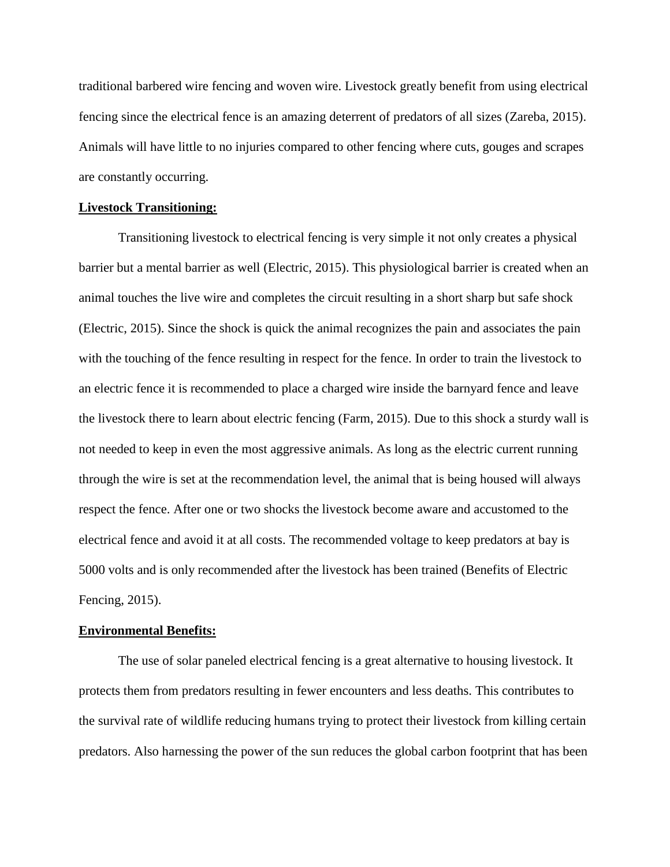traditional barbered wire fencing and woven wire. Livestock greatly benefit from using electrical fencing since the electrical fence is an amazing deterrent of predators of all sizes (Zareba, 2015). Animals will have little to no injuries compared to other fencing where cuts, gouges and scrapes are constantly occurring.

# **Livestock Transitioning:**

Transitioning livestock to electrical fencing is very simple it not only creates a physical barrier but a mental barrier as well (Electric, 2015). This physiological barrier is created when an animal touches the live wire and completes the circuit resulting in a short sharp but safe shock (Electric, 2015). Since the shock is quick the animal recognizes the pain and associates the pain with the touching of the fence resulting in respect for the fence. In order to train the livestock to an electric fence it is recommended to place a charged wire inside the barnyard fence and leave the livestock there to learn about electric fencing (Farm, 2015). Due to this shock a sturdy wall is not needed to keep in even the most aggressive animals. As long as the electric current running through the wire is set at the recommendation level, the animal that is being housed will always respect the fence. After one or two shocks the livestock become aware and accustomed to the electrical fence and avoid it at all costs. The recommended voltage to keep predators at bay is 5000 volts and is only recommended after the livestock has been trained (Benefits of Electric Fencing, 2015).

#### **Environmental Benefits:**

The use of solar paneled electrical fencing is a great alternative to housing livestock. It protects them from predators resulting in fewer encounters and less deaths. This contributes to the survival rate of wildlife reducing humans trying to protect their livestock from killing certain predators. Also harnessing the power of the sun reduces the global carbon footprint that has been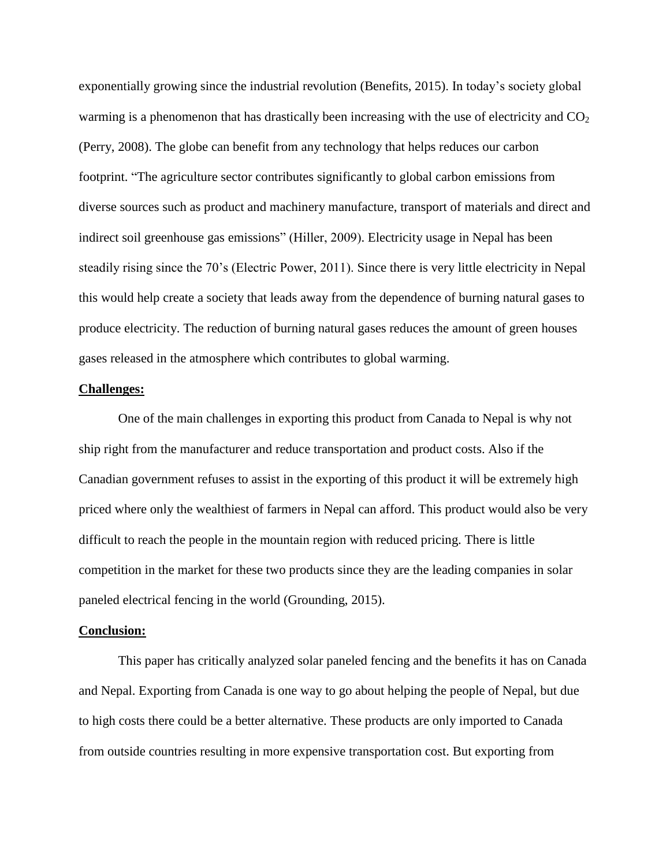exponentially growing since the industrial revolution (Benefits, 2015). In today's society global warming is a phenomenon that has drastically been increasing with the use of electricity and  $CO<sub>2</sub>$ (Perry, 2008). The globe can benefit from any technology that helps reduces our carbon footprint. "The agriculture sector contributes significantly to global carbon emissions from diverse sources such as product and machinery manufacture, transport of materials and direct and indirect soil greenhouse gas emissions" (Hiller, 2009). Electricity usage in Nepal has been steadily rising since the 70's (Electric Power, 2011). Since there is very little electricity in Nepal this would help create a society that leads away from the dependence of burning natural gases to produce electricity. The reduction of burning natural gases reduces the amount of green houses gases released in the atmosphere which contributes to global warming.

#### **Challenges:**

One of the main challenges in exporting this product from Canada to Nepal is why not ship right from the manufacturer and reduce transportation and product costs. Also if the Canadian government refuses to assist in the exporting of this product it will be extremely high priced where only the wealthiest of farmers in Nepal can afford. This product would also be very difficult to reach the people in the mountain region with reduced pricing. There is little competition in the market for these two products since they are the leading companies in solar paneled electrical fencing in the world (Grounding, 2015).

#### **Conclusion:**

This paper has critically analyzed solar paneled fencing and the benefits it has on Canada and Nepal. Exporting from Canada is one way to go about helping the people of Nepal, but due to high costs there could be a better alternative. These products are only imported to Canada from outside countries resulting in more expensive transportation cost. But exporting from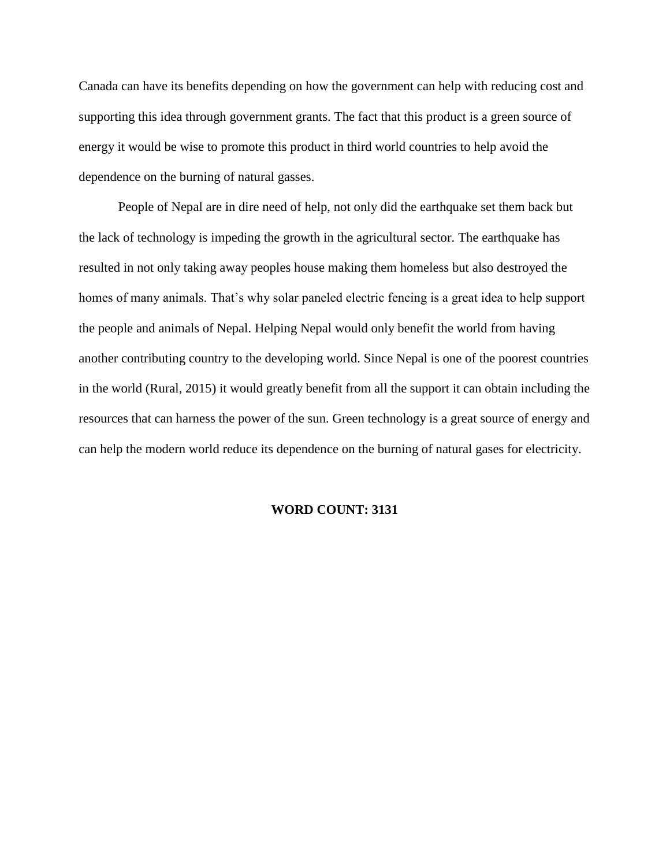Canada can have its benefits depending on how the government can help with reducing cost and supporting this idea through government grants. The fact that this product is a green source of energy it would be wise to promote this product in third world countries to help avoid the dependence on the burning of natural gasses.

People of Nepal are in dire need of help, not only did the earthquake set them back but the lack of technology is impeding the growth in the agricultural sector. The earthquake has resulted in not only taking away peoples house making them homeless but also destroyed the homes of many animals. That's why solar paneled electric fencing is a great idea to help support the people and animals of Nepal. Helping Nepal would only benefit the world from having another contributing country to the developing world. Since Nepal is one of the poorest countries in the world (Rural, 2015) it would greatly benefit from all the support it can obtain including the resources that can harness the power of the sun. Green technology is a great source of energy and can help the modern world reduce its dependence on the burning of natural gases for electricity.

# **WORD COUNT: 3131**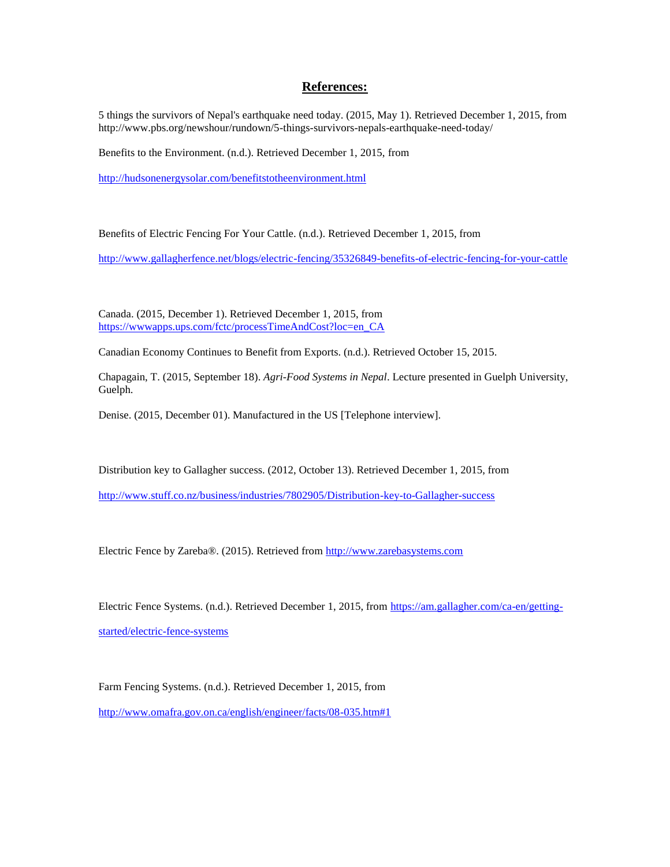# **References:**

5 things the survivors of Nepal's earthquake need today. (2015, May 1). Retrieved December 1, 2015, from http://www.pbs.org/newshour/rundown/5-things-survivors-nepals-earthquake-need-today/

Benefits to the Environment. (n.d.). Retrieved December 1, 2015, from

<http://hudsonenergysolar.com/benefitstotheenvironment.html>

Benefits of Electric Fencing For Your Cattle. (n.d.). Retrieved December 1, 2015, from

<http://www.gallagherfence.net/blogs/electric-fencing/35326849-benefits-of-electric-fencing-for-your-cattle>

Canada. (2015, December 1). Retrieved December 1, 2015, from [https://wwwapps.ups.com/fctc/processTimeAndCost?loc=en\\_CA](https://wwwapps.ups.com/fctc/processTimeAndCost?loc=en_CA)

Canadian Economy Continues to Benefit from Exports. (n.d.). Retrieved October 15, 2015.

Chapagain, T. (2015, September 18). *Agri-Food Systems in Nepal*. Lecture presented in Guelph University, Guelph.

Denise. (2015, December 01). Manufactured in the US [Telephone interview].

Distribution key to Gallagher success. (2012, October 13). Retrieved December 1, 2015, from

<http://www.stuff.co.nz/business/industries/7802905/Distribution-key-to-Gallagher-success>

Electric Fence by Zareba®. (2015). Retrieved from [http://www.zarebasystems.com](http://www.zarebasystems.com/)

Electric Fence Systems. (n.d.). Retrieved December 1, 2015, from [https://am.gallagher.com/ca-en/getting-](https://am.gallagher.com/ca-en/getting-started/electric-fence-systems)

[started/electric-fence-systems](https://am.gallagher.com/ca-en/getting-started/electric-fence-systems)

Farm Fencing Systems. (n.d.). Retrieved December 1, 2015, from

<http://www.omafra.gov.on.ca/english/engineer/facts/08-035.htm#1>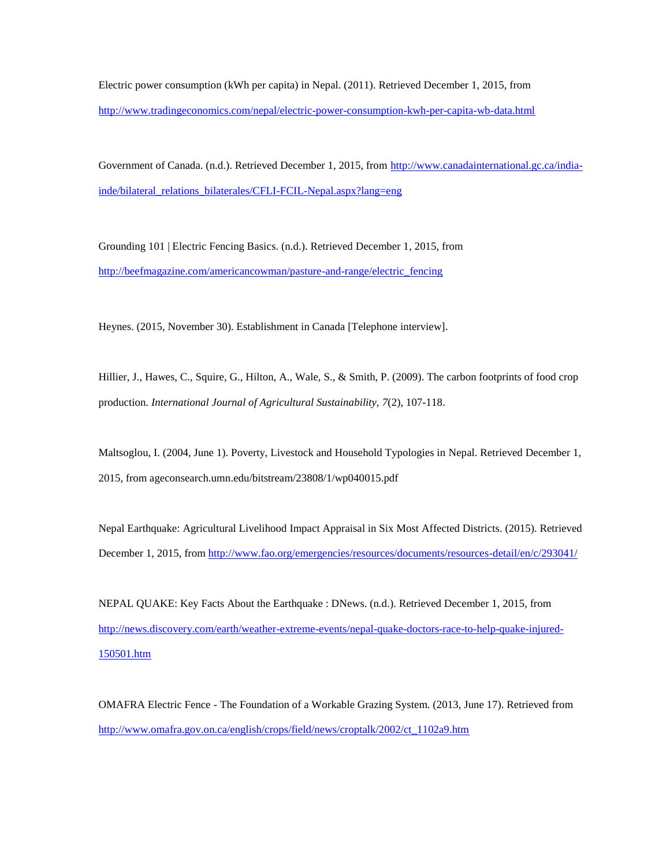Electric power consumption (kWh per capita) in Nepal. (2011). Retrieved December 1, 2015, from <http://www.tradingeconomics.com/nepal/electric-power-consumption-kwh-per-capita-wb-data.html>

Government of Canada. (n.d.). Retrieved December 1, 2015, from [http://www.canadainternational.gc.ca/india](http://www.canadainternational.gc.ca/india-inde/bilateral_relations_bilaterales/CFLI-FCIL-Nepal.aspx?lang=eng)[inde/bilateral\\_relations\\_bilaterales/CFLI-FCIL-Nepal.aspx?lang=eng](http://www.canadainternational.gc.ca/india-inde/bilateral_relations_bilaterales/CFLI-FCIL-Nepal.aspx?lang=eng)

Grounding 101 | Electric Fencing Basics. (n.d.). Retrieved December 1, 2015, from [http://beefmagazine.com/americancowman/pasture-and-range/electric\\_fencing](http://beefmagazine.com/americancowman/pasture-and-range/electric_fencing)

Heynes. (2015, November 30). Establishment in Canada [Telephone interview].

Hillier, J., Hawes, C., Squire, G., Hilton, A., Wale, S., & Smith, P. (2009). The carbon footprints of food crop production. *International Journal of Agricultural Sustainability, 7*(2), 107-118.

Maltsoglou, I. (2004, June 1). Poverty, Livestock and Household Typologies in Nepal. Retrieved December 1, 2015, from ageconsearch.umn.edu/bitstream/23808/1/wp040015.pdf

Nepal Earthquake: Agricultural Livelihood Impact Appraisal in Six Most Affected Districts. (2015). Retrieved December 1, 2015, from<http://www.fao.org/emergencies/resources/documents/resources-detail/en/c/293041/>

NEPAL QUAKE: Key Facts About the Earthquake : DNews. (n.d.). Retrieved December 1, 2015, from [http://news.discovery.com/earth/weather-extreme-events/nepal-quake-doctors-race-to-help-quake-injured-](http://news.discovery.com/earth/weather-extreme-events/nepal-quake-doctors-race-to-help-quake-injured-150501.htm)[150501.htm](http://news.discovery.com/earth/weather-extreme-events/nepal-quake-doctors-race-to-help-quake-injured-150501.htm)

OMAFRA Electric Fence - The Foundation of a Workable Grazing System. (2013, June 17). Retrieved from [http://www.omafra.gov.on.ca/english/crops/field/news/croptalk/2002/ct\\_1102a9.htm](http://www.omafra.gov.on.ca/english/crops/field/news/croptalk/2002/ct_1102a9.htm)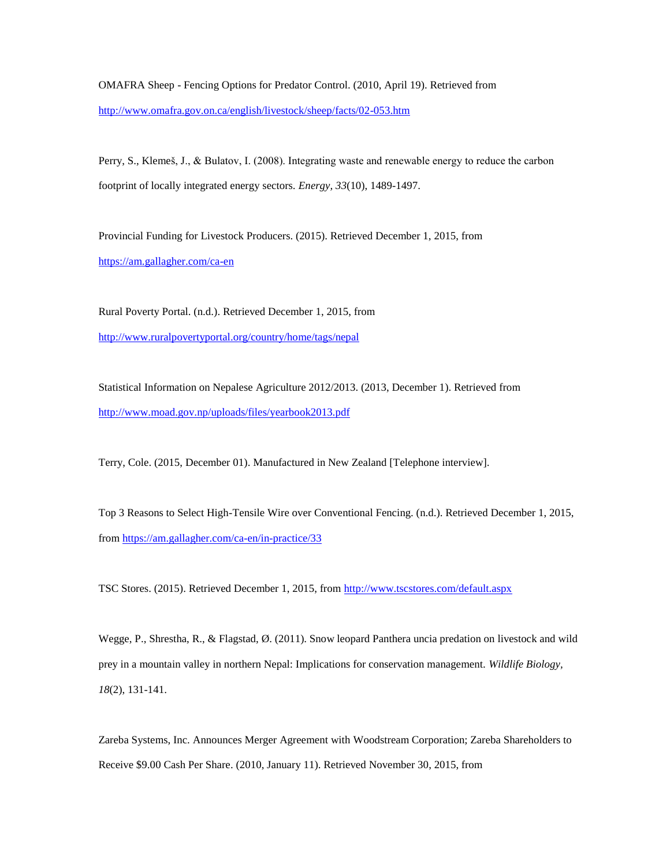OMAFRA Sheep - Fencing Options for Predator Control. (2010, April 19). Retrieved from <http://www.omafra.gov.on.ca/english/livestock/sheep/facts/02-053.htm>

Perry, S., Klemeš, J., & Bulatov, I. (2008). Integrating waste and renewable energy to reduce the carbon footprint of locally integrated energy sectors. *Energy, 33*(10), 1489-1497.

Provincial Funding for Livestock Producers. (2015). Retrieved December 1, 2015, from <https://am.gallagher.com/ca-en>

Rural Poverty Portal. (n.d.). Retrieved December 1, 2015, from <http://www.ruralpovertyportal.org/country/home/tags/nepal>

Statistical Information on Nepalese Agriculture 2012/2013. (2013, December 1). Retrieved from <http://www.moad.gov.np/uploads/files/yearbook2013.pdf>

Terry, Cole. (2015, December 01). Manufactured in New Zealand [Telephone interview].

Top 3 Reasons to Select High-Tensile Wire over Conventional Fencing. (n.d.). Retrieved December 1, 2015, from<https://am.gallagher.com/ca-en/in-practice/33>

TSC Stores. (2015). Retrieved December 1, 2015, from<http://www.tscstores.com/default.aspx>

Wegge, P., Shrestha, R., & Flagstad, Ø. (2011). Snow leopard Panthera uncia predation on livestock and wild prey in a mountain valley in northern Nepal: Implications for conservation management. *Wildlife Biology, 18*(2), 131-141.

Zareba Systems, Inc. Announces Merger Agreement with Woodstream Corporation; Zareba Shareholders to Receive \$9.00 Cash Per Share. (2010, January 11). Retrieved November 30, 2015, from